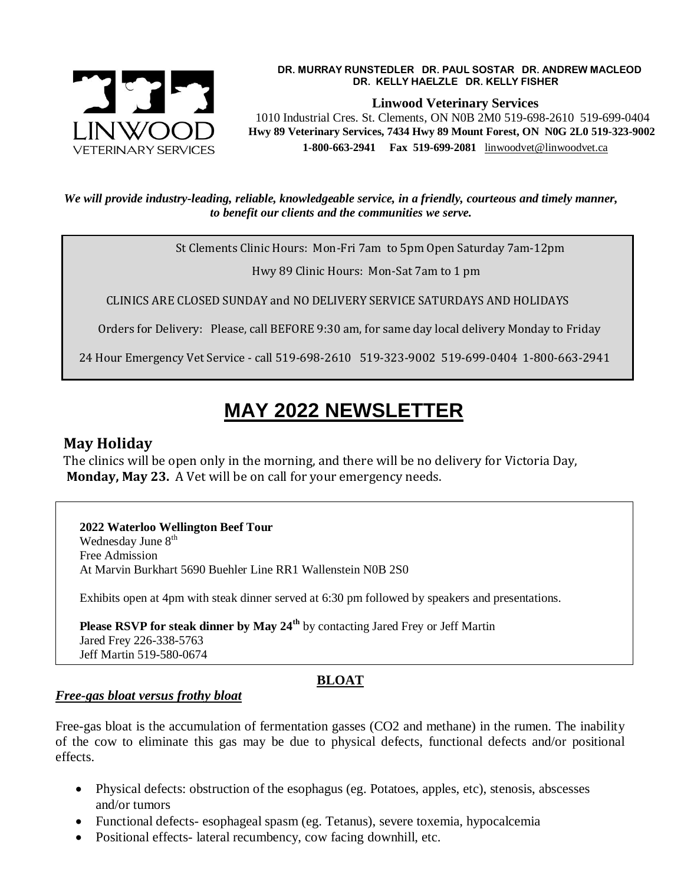

#### **DR. MURRAY RUNSTEDLER DR. PAUL SOSTAR DR. ANDREW MACLEOD DR. KELLY HAELZLE DR. KELLY FISHER**

**Linwood Veterinary Services**

 1010 Industrial Cres. St. Clements, ON N0B 2M0 519-698-2610 519-699-0404  **Hwy 89 Veterinary Services, 7434 Hwy 89 Mount Forest, ON N0G 2L0 519-323-9002 1-800-663-2941 Fax 519-699-2081** [linwoodvet@linwoodvet.ca](mailto:linwoodvet@linwoodvet.ca)

*We will provide industry-leading, reliable, knowledgeable service, in a friendly, courteous and timely manner, to benefit our clients and the communities we serve.*

St Clements Clinic Hours: Mon-Fri 7am to 5pm Open Saturday 7am-12pm

Hwy 89 Clinic Hours: Mon-Sat 7am to 1 pm

CLINICS ARE CLOSED SUNDAY and NO DELIVERY SERVICE SATURDAYS AND HOLIDAYS

Orders for Delivery: Please, call BEFORE 9:30 am, for same day local delivery Monday to Friday

24 Hour Emergency Vet Service - call 519-698-2610 519-323-9002 519-699-0404 1-800-663-2941

# **MAY 2022 NEWSLETTER**

### **May Holiday**

The clinics will be open only in the morning, and there will be no delivery for Victoria Day, **Monday, May 23.** A Vet will be on call for your emergency needs.

 **2022 Waterloo Wellington Beef Tour** Wednesday June 8<sup>th</sup> Free Admission At Marvin Burkhart 5690 Buehler Line RR1 Wallenstein N0B 2S0

Exhibits open at 4pm with steak dinner served at 6:30 pm followed by speakers and presentations.

 **Please RSVP for steak dinner by May 24th** by contacting Jared Frey or Jeff Martin Jared Frey 226-338-5763 Jeff Martin 519-580-0674

## **BLOAT**

#### *Free-gas bloat versus frothy bloat*

Free-gas bloat is the accumulation of fermentation gasses (CO2 and methane) in the rumen. The inability of the cow to eliminate this gas may be due to physical defects, functional defects and/or positional effects.

- Physical defects: obstruction of the esophagus (eg. Potatoes, apples, etc), stenosis, abscesses and/or tumors
- Functional defects- esophageal spasm (eg. Tetanus), severe toxemia, hypocalcemia
- Positional effects- lateral recumbency, cow facing downhill, etc.